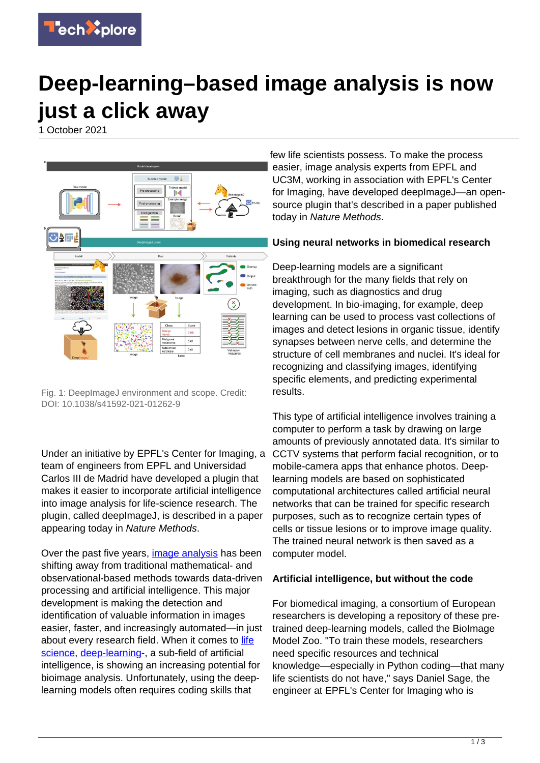

## **Deep-learning–based image analysis is now just a click away**

1 October 2021



Fig. 1: DeepImageJ environment and scope. Credit: DOI: 10.1038/s41592-021-01262-9

Under an initiative by EPFL's Center for Imaging, a team of engineers from EPFL and Universidad Carlos III de Madrid have developed a plugin that makes it easier to incorporate artificial intelligence into image analysis for life-science research. The plugin, called deepImageJ, is described in a paper appearing today in Nature Methods.

Over the past five years, *[image analysis](https://techxplore.com/tags/image+analysis/)* has been shifting away from traditional mathematical- and observational-based methods towards data-driven processing and artificial intelligence. This major development is making the detection and identification of valuable information in images easier, faster, and increasingly automated—in just about every research field. When it comes to [life](https://techxplore.com/tags/life+science/) [science,](https://techxplore.com/tags/life+science/) [deep-learning](https://techxplore.com/tags/deep-learning/)-, a sub-field of artificial intelligence, is showing an increasing potential for bioimage analysis. Unfortunately, using the deeplearning models often requires coding skills that

few life scientists possess. To make the process easier, image analysis experts from EPFL and UC3M, working in association with EPFL's Center for Imaging, have developed deepImageJ—an opensource plugin that's described in a paper published today in Nature Methods.

## **Using neural networks in biomedical research**

Deep-learning models are a significant breakthrough for the many fields that rely on imaging, such as diagnostics and drug development. In bio-imaging, for example, deep learning can be used to process vast collections of images and detect lesions in organic tissue, identify synapses between nerve cells, and determine the structure of cell membranes and nuclei. It's ideal for recognizing and classifying images, identifying specific elements, and predicting experimental results.

This type of artificial intelligence involves training a computer to perform a task by drawing on large amounts of previously annotated data. It's similar to CCTV systems that perform facial recognition, or to mobile-camera apps that enhance photos. Deeplearning models are based on sophisticated computational architectures called artificial neural networks that can be trained for specific research purposes, such as to recognize certain types of cells or tissue lesions or to improve image quality. The trained neural network is then saved as a computer model.

## **Artificial intelligence, but without the code**

For biomedical imaging, a consortium of European researchers is developing a repository of these pretrained deep-learning models, called the BioImage Model Zoo. "To train these models, researchers need specific resources and technical knowledge—especially in Python coding—that many life scientists do not have," says Daniel Sage, the engineer at EPFL's Center for Imaging who is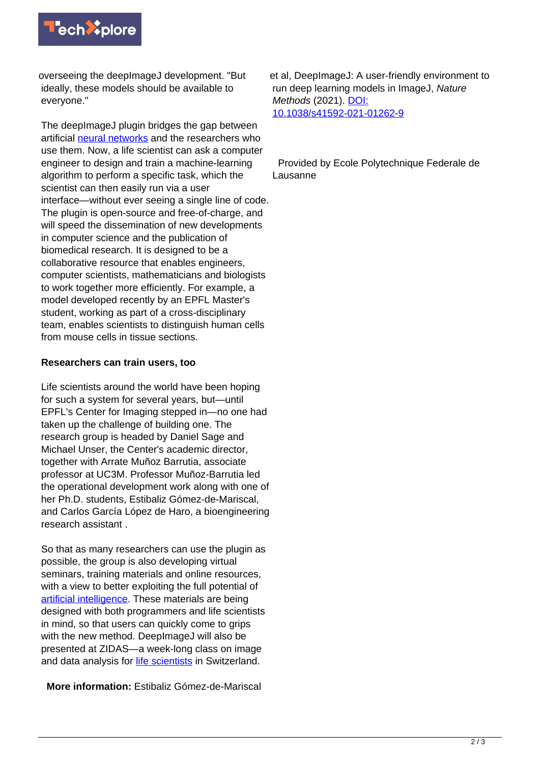

overseeing the deepImageJ development. "But ideally, these models should be available to everyone."

The deepImageJ plugin bridges the gap between artificial [neural networks](https://techxplore.com/tags/neural+networks/) and the researchers who use them. Now, a life scientist can ask a computer engineer to design and train a machine-learning algorithm to perform a specific task, which the scientist can then easily run via a user interface—without ever seeing a single line of code. The plugin is open-source and free-of-charge, and will speed the dissemination of new developments in computer science and the publication of biomedical research. It is designed to be a collaborative resource that enables engineers, computer scientists, mathematicians and biologists to work together more efficiently. For example, a model developed recently by an EPFL Master's student, working as part of a cross-disciplinary team, enables scientists to distinguish human cells from mouse cells in tissue sections.

## **Researchers can train users, too**

Life scientists around the world have been hoping for such a system for several years, but—until EPFL's Center for Imaging stepped in—no one had taken up the challenge of building one. The research group is headed by Daniel Sage and Michael Unser, the Center's academic director, together with Arrate Muñoz Barrutia, associate professor at UC3M. Professor Muñoz-Barrutia led the operational development work along with one of her Ph.D. students, Estibaliz Gómez-de-Mariscal, and Carlos García López de Haro, a bioengineering research assistant .

So that as many researchers can use the plugin as possible, the group is also developing virtual seminars, training materials and online resources, with a view to better exploiting the full potential of [artificial intelligence.](https://techxplore.com/tags/artificial+intelligence/) These materials are being designed with both programmers and life scientists in mind, so that users can quickly come to grips with the new method. DeepImageJ will also be presented at ZIDAS—a week-long class on image and data analysis for [life scientists](https://techxplore.com/tags/life+scientists/) in Switzerland.

**More information:** Estibaliz Gómez-de-Mariscal

et al, DeepImageJ: A user-friendly environment to run deep learning models in ImageJ, Nature Methods (2021). [DOI:](http://dx.doi.org/10.1038/s41592-021-01262-9) [10.1038/s41592-021-01262-9](http://dx.doi.org/10.1038/s41592-021-01262-9)

 Provided by Ecole Polytechnique Federale de Lausanne